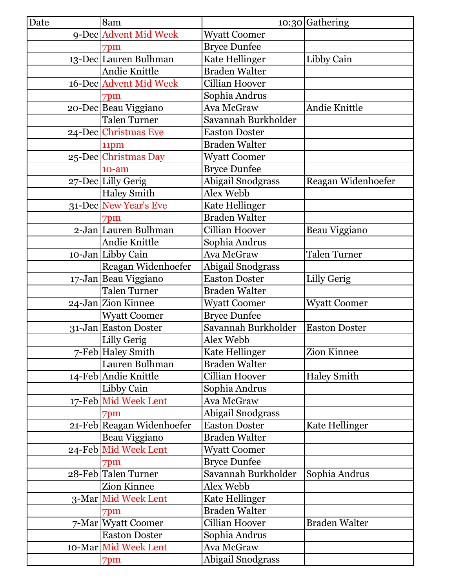| Date | 8am                       |                          | 10:30 Gathering      |
|------|---------------------------|--------------------------|----------------------|
|      | 9-Dec Advent Mid Week     | <b>Wyatt Coomer</b>      |                      |
|      | 7pm                       | <b>Bryce Dunfee</b>      |                      |
|      | 13-Dec Lauren Bulhman     | Kate Hellinger           | Libby Cain           |
|      | Andie Knittle             | <b>Braden Walter</b>     |                      |
|      | 16-Dec Advent Mid Week    | Cillian Hoover           |                      |
|      | 7pm                       | Sophia Andrus            |                      |
|      | 20-Dec Beau Viggiano      | Ava McGraw               | Andie Knittle        |
|      | <b>Talen Turner</b>       | Savannah Burkholder      |                      |
|      | 24-Dec Christmas Eve      | <b>Easton Doster</b>     |                      |
|      | 11pm                      | <b>Braden Walter</b>     |                      |
|      | 25-Dec Christmas Day      | <b>Wyatt Coomer</b>      |                      |
|      | $10-am$                   | <b>Bryce Dunfee</b>      |                      |
|      | 27-Dec Lilly Gerig        | <b>Abigail Snodgrass</b> | Reagan Widenhoefer   |
|      | <b>Haley Smith</b>        | Alex Webb                |                      |
|      | 31-Dec New Year's Eve     | Kate Hellinger           |                      |
|      | 7pm                       | <b>Braden Walter</b>     |                      |
|      | 2-Jan Lauren Bulhman      | <b>Cillian Hoover</b>    | Beau Viggiano        |
|      | Andie Knittle             | Sophia Andrus            |                      |
|      | 10-Jan Libby Cain         | Ava McGraw               | <b>Talen Turner</b>  |
|      | Reagan Widenhoefer        | Abigail Snodgrass        |                      |
|      | 17-Jan Beau Viggiano      | <b>Easton Doster</b>     | Lilly Gerig          |
|      | <b>Talen Turner</b>       | <b>Braden Walter</b>     |                      |
|      | 24-Jan Zion Kinnee        | <b>Wyatt Coomer</b>      | <b>Wyatt Coomer</b>  |
|      | <b>Wyatt Coomer</b>       | <b>Bryce Dunfee</b>      |                      |
|      | 31-Jan Easton Doster      | Savannah Burkholder      | <b>Easton Doster</b> |
|      | Lilly Gerig               | Alex Webb                |                      |
|      | 7-Feb Haley Smith         | Kate Hellinger           | Zion Kinnee          |
|      | Lauren Bulhman            | <b>Braden Walter</b>     |                      |
|      | 14-Feb Andie Knittle      | Cillian Hoover           | <b>Haley Smith</b>   |
|      | Libby Cain                | Sophia Andrus            |                      |
|      | 17-Feb Mid Week Lent      | Ava McGraw               |                      |
|      | 7pm                       | Abigail Snodgrass        |                      |
|      | 21-Feb Reagan Widenhoefer | <b>Easton Doster</b>     | Kate Hellinger       |
|      | Beau Viggiano             | <b>Braden Walter</b>     |                      |
|      | 24-Feb Mid Week Lent      | <b>Wyatt Coomer</b>      |                      |
|      | 7pm                       | <b>Bryce Dunfee</b>      |                      |
|      | 28-Feb Talen Turner       | Savannah Burkholder      | Sophia Andrus        |
|      | Zion Kinnee               | Alex Webb                |                      |
|      | 3-Mar Mid Week Lent       | Kate Hellinger           |                      |
|      | 7pm                       | <b>Braden Walter</b>     |                      |
|      | 7-Mar Wyatt Coomer        | Cillian Hoover           | <b>Braden Walter</b> |
|      | <b>Easton Doster</b>      | Sophia Andrus            |                      |
|      | 10-Mar Mid Week Lent      | Ava McGraw               |                      |
|      | 7pm                       | <b>Abigail Snodgrass</b> |                      |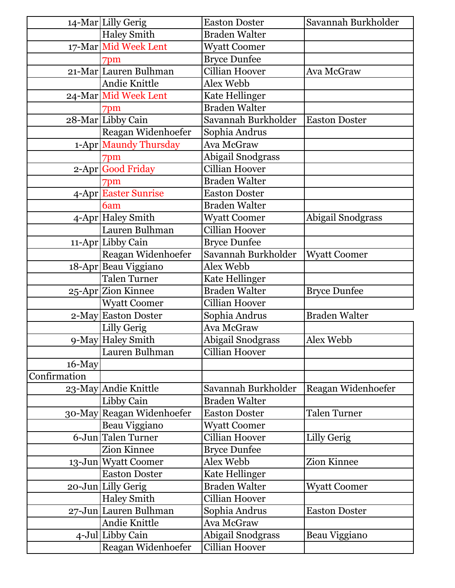|              | 14-Mar Lilly Gerig        | <b>Easton Doster</b>  | Savannah Burkholder  |
|--------------|---------------------------|-----------------------|----------------------|
|              | <b>Haley Smith</b>        | <b>Braden Walter</b>  |                      |
|              | 17-Mar Mid Week Lent      | <b>Wyatt Coomer</b>   |                      |
|              | 7pm                       | <b>Bryce Dunfee</b>   |                      |
|              | 21-Mar Lauren Bulhman     | <b>Cillian Hoover</b> | Ava McGraw           |
|              | Andie Knittle             | Alex Webb             |                      |
|              | 24-Mar Mid Week Lent      | Kate Hellinger        |                      |
|              | 7pm                       | <b>Braden Walter</b>  |                      |
|              | 28-Mar Libby Cain         | Savannah Burkholder   | <b>Easton Doster</b> |
|              | Reagan Widenhoefer        | Sophia Andrus         |                      |
|              | 1-Apr Maundy Thursday     | Ava McGraw            |                      |
|              | 7pm                       | Abigail Snodgrass     |                      |
|              | 2-Apr Good Friday         | Cillian Hoover        |                      |
|              | 7pm                       | <b>Braden Walter</b>  |                      |
|              | 4-Apr Easter Sunrise      | <b>Easton Doster</b>  |                      |
|              | 6am                       | <b>Braden Walter</b>  |                      |
|              | 4-Apr Haley Smith         | <b>Wyatt Coomer</b>   | Abigail Snodgrass    |
|              | Lauren Bulhman            | <b>Cillian Hoover</b> |                      |
|              | 11-Apr Libby Cain         | <b>Bryce Dunfee</b>   |                      |
|              | Reagan Widenhoefer        | Savannah Burkholder   | <b>Wyatt Coomer</b>  |
|              | 18-Apr Beau Viggiano      | Alex Webb             |                      |
|              | <b>Talen Turner</b>       | Kate Hellinger        |                      |
|              | 25-Apr Zion Kinnee        | <b>Braden Walter</b>  | <b>Bryce Dunfee</b>  |
|              | <b>Wyatt Coomer</b>       | Cillian Hoover        |                      |
|              | 2-May Easton Doster       | Sophia Andrus         | <b>Braden Walter</b> |
|              | Lilly Gerig               | Ava McGraw            |                      |
|              | 9-May Haley Smith         | Abigail Snodgrass     | Alex Webb            |
|              | Lauren Bulhman            | Cillian Hoover        |                      |
| $16$ -May    |                           |                       |                      |
| Confirmation |                           |                       |                      |
|              | 23-May Andie Knittle      | Savannah Burkholder   | Reagan Widenhoefer   |
|              | Libby Cain                | <b>Braden Walter</b>  |                      |
|              | 30-May Reagan Widenhoefer | <b>Easton Doster</b>  | <b>Talen Turner</b>  |
|              | Beau Viggiano             | <b>Wyatt Coomer</b>   |                      |
|              | 6-Jun Talen Turner        | Cillian Hoover        | Lilly Gerig          |
|              | Zion Kinnee               | <b>Bryce Dunfee</b>   |                      |
|              | 13-Jun Wyatt Coomer       | Alex Webb             | Zion Kinnee          |
|              | <b>Easton Doster</b>      | Kate Hellinger        |                      |
|              | 20-Jun Lilly Gerig        | <b>Braden Walter</b>  | <b>Wyatt Coomer</b>  |
|              | <b>Haley Smith</b>        | Cillian Hoover        |                      |
|              | 27-Jun Lauren Bulhman     | Sophia Andrus         | <b>Easton Doster</b> |
|              | Andie Knittle             | Ava McGraw            |                      |
|              | 4-Jul Libby Cain          | Abigail Snodgrass     | Beau Viggiano        |
|              | Reagan Widenhoefer        | Cillian Hoover        |                      |